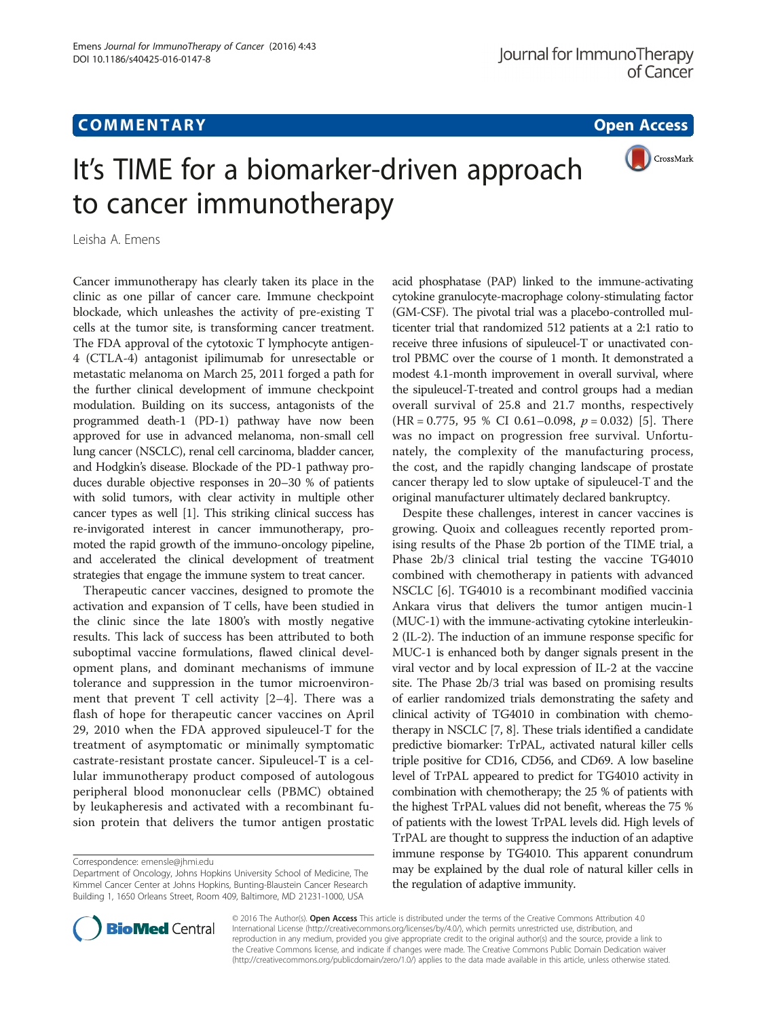## **COMMENTARY COMMENTARY Open Access**



# It's TIME for a biomarker-driven approach to cancer immunotherapy

Leisha A. Emens

Cancer immunotherapy has clearly taken its place in the clinic as one pillar of cancer care. Immune checkpoint blockade, which unleashes the activity of pre-existing T cells at the tumor site, is transforming cancer treatment. The FDA approval of the cytotoxic T lymphocyte antigen-4 (CTLA-4) antagonist ipilimumab for unresectable or metastatic melanoma on March 25, 2011 forged a path for the further clinical development of immune checkpoint modulation. Building on its success, antagonists of the programmed death-1 (PD-1) pathway have now been approved for use in advanced melanoma, non-small cell lung cancer (NSCLC), renal cell carcinoma, bladder cancer, and Hodgkin's disease. Blockade of the PD-1 pathway produces durable objective responses in 20–30 % of patients with solid tumors, with clear activity in multiple other cancer types as well [[1\]](#page-2-0). This striking clinical success has re-invigorated interest in cancer immunotherapy, promoted the rapid growth of the immuno-oncology pipeline, and accelerated the clinical development of treatment strategies that engage the immune system to treat cancer.

Therapeutic cancer vaccines, designed to promote the activation and expansion of T cells, have been studied in the clinic since the late 1800's with mostly negative results. This lack of success has been attributed to both suboptimal vaccine formulations, flawed clinical development plans, and dominant mechanisms of immune tolerance and suppression in the tumor microenvironment that prevent T cell activity  $[2-4]$  $[2-4]$  $[2-4]$  $[2-4]$ . There was a flash of hope for therapeutic cancer vaccines on April 29, 2010 when the FDA approved sipuleucel-T for the treatment of asymptomatic or minimally symptomatic castrate-resistant prostate cancer. Sipuleucel-T is a cellular immunotherapy product composed of autologous peripheral blood mononuclear cells (PBMC) obtained by leukapheresis and activated with a recombinant fusion protein that delivers the tumor antigen prostatic acid phosphatase (PAP) linked to the immune-activating cytokine granulocyte-macrophage colony-stimulating factor (GM-CSF). The pivotal trial was a placebo-controlled multicenter trial that randomized 512 patients at a 2:1 ratio to receive three infusions of sipuleucel-T or unactivated control PBMC over the course of 1 month. It demonstrated a modest 4.1-month improvement in overall survival, where the sipuleucel-T-treated and control groups had a median overall survival of 25.8 and 21.7 months, respectively (HR = 0.775, 95 % CI 0.61-0.098,  $p = 0.032$ ) [\[5](#page-2-0)]. There was no impact on progression free survival. Unfortunately, the complexity of the manufacturing process, the cost, and the rapidly changing landscape of prostate cancer therapy led to slow uptake of sipuleucel-T and the original manufacturer ultimately declared bankruptcy.

Despite these challenges, interest in cancer vaccines is growing. Quoix and colleagues recently reported promising results of the Phase 2b portion of the TIME trial, a Phase 2b/3 clinical trial testing the vaccine TG4010 combined with chemotherapy in patients with advanced NSCLC [[6\]](#page-2-0). TG4010 is a recombinant modified vaccinia Ankara virus that delivers the tumor antigen mucin-1 (MUC-1) with the immune-activating cytokine interleukin-2 (IL-2). The induction of an immune response specific for MUC-1 is enhanced both by danger signals present in the viral vector and by local expression of IL-2 at the vaccine site. The Phase 2b/3 trial was based on promising results of earlier randomized trials demonstrating the safety and clinical activity of TG4010 in combination with chemotherapy in NSCLC [[7, 8](#page-2-0)]. These trials identified a candidate predictive biomarker: TrPAL, activated natural killer cells triple positive for CD16, CD56, and CD69. A low baseline level of TrPAL appeared to predict for TG4010 activity in combination with chemotherapy; the 25 % of patients with the highest TrPAL values did not benefit, whereas the 75 % of patients with the lowest TrPAL levels did. High levels of TrPAL are thought to suppress the induction of an adaptive immune response by TG4010. This apparent conundrum may be explained by the dual role of natural killer cells in the regulation of adaptive immunity.



© 2016 The Author(s). Open Access This article is distributed under the terms of the Creative Commons Attribution 4.0 International License [\(http://creativecommons.org/licenses/by/4.0/](http://creativecommons.org/licenses/by/4.0/)), which permits unrestricted use, distribution, and reproduction in any medium, provided you give appropriate credit to the original author(s) and the source, provide a link to the Creative Commons license, and indicate if changes were made. The Creative Commons Public Domain Dedication waiver [\(http://creativecommons.org/publicdomain/zero/1.0/](http://creativecommons.org/publicdomain/zero/1.0/)) applies to the data made available in this article, unless otherwise stated.

Correspondence: [emensle@jhmi.edu](mailto:emensle@jhmi.edu)

Department of Oncology, Johns Hopkins University School of Medicine, The Kimmel Cancer Center at Johns Hopkins, Bunting-Blaustein Cancer Research Building 1, 1650 Orleans Street, Room 409, Baltimore, MD 21231-1000, USA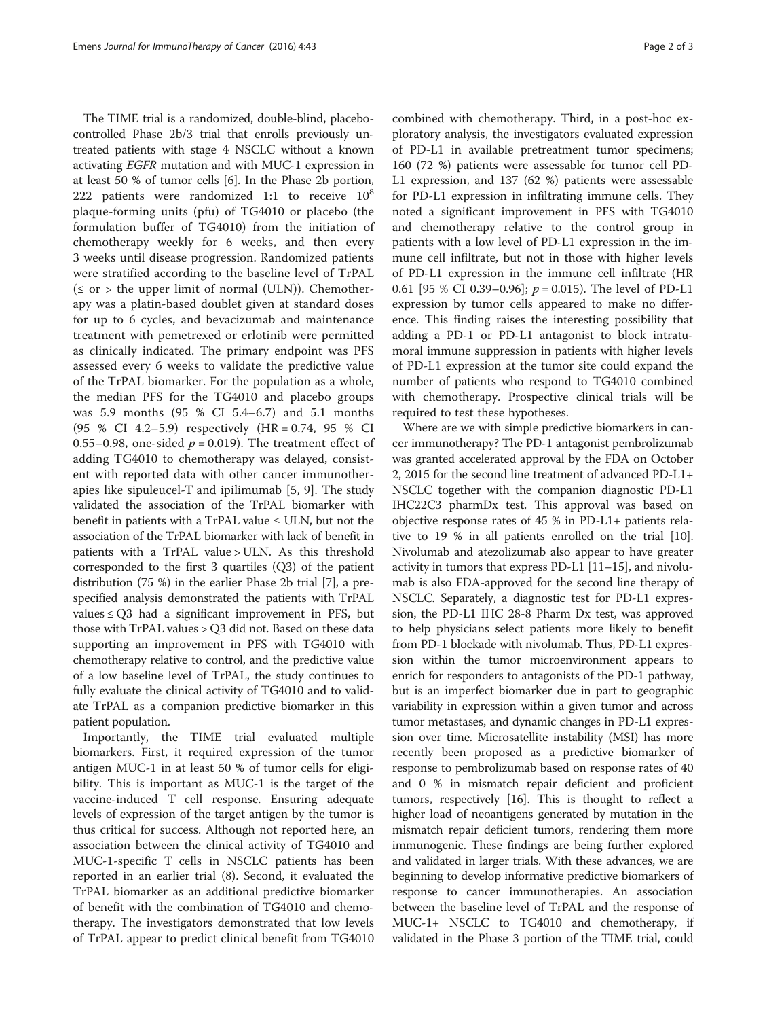The TIME trial is a randomized, double-blind, placebocontrolled Phase 2b/3 trial that enrolls previously untreated patients with stage 4 NSCLC without a known activating EGFR mutation and with MUC-1 expression in at least 50 % of tumor cells [[6\]](#page-2-0). In the Phase 2b portion, 222 patients were randomized 1:1 to receive  $10^8$ plaque-forming units (pfu) of TG4010 or placebo (the formulation buffer of TG4010) from the initiation of chemotherapy weekly for 6 weeks, and then every 3 weeks until disease progression. Randomized patients were stratified according to the baseline level of TrPAL  $(\leq$  or > the upper limit of normal (ULN)). Chemotherapy was a platin-based doublet given at standard doses for up to 6 cycles, and bevacizumab and maintenance treatment with pemetrexed or erlotinib were permitted as clinically indicated. The primary endpoint was PFS assessed every 6 weeks to validate the predictive value of the TrPAL biomarker. For the population as a whole, the median PFS for the TG4010 and placebo groups was 5.9 months (95 % CI 5.4–6.7) and 5.1 months (95 % CI 4.2–5.9) respectively (HR = 0.74, 95 % CI 0.55–0.98, one-sided  $p = 0.019$ ). The treatment effect of adding TG4010 to chemotherapy was delayed, consistent with reported data with other cancer immunotherapies like sipuleucel-T and ipilimumab [[5, 9](#page-2-0)]. The study validated the association of the TrPAL biomarker with benefit in patients with a TrPAL value  $\leq$  ULN, but not the association of the TrPAL biomarker with lack of benefit in patients with a TrPAL value > ULN. As this threshold corresponded to the first 3 quartiles (Q3) of the patient distribution (75 %) in the earlier Phase 2b trial [\[7\]](#page-2-0), a prespecified analysis demonstrated the patients with TrPAL values  $\le Q3$  had a significant improvement in PFS, but those with TrPAL values > Q3 did not. Based on these data supporting an improvement in PFS with TG4010 with chemotherapy relative to control, and the predictive value of a low baseline level of TrPAL, the study continues to fully evaluate the clinical activity of TG4010 and to validate TrPAL as a companion predictive biomarker in this patient population.

Importantly, the TIME trial evaluated multiple biomarkers. First, it required expression of the tumor antigen MUC-1 in at least 50 % of tumor cells for eligibility. This is important as MUC-1 is the target of the vaccine-induced T cell response. Ensuring adequate levels of expression of the target antigen by the tumor is thus critical for success. Although not reported here, an association between the clinical activity of TG4010 and MUC-1-specific T cells in NSCLC patients has been reported in an earlier trial [\(8\)](#page-2-0). Second, it evaluated the TrPAL biomarker as an additional predictive biomarker of benefit with the combination of TG4010 and chemotherapy. The investigators demonstrated that low levels of TrPAL appear to predict clinical benefit from TG4010

combined with chemotherapy. Third, in a post-hoc exploratory analysis, the investigators evaluated expression of PD-L1 in available pretreatment tumor specimens; 160 (72 %) patients were assessable for tumor cell PD-L1 expression, and 137 (62 %) patients were assessable for PD-L1 expression in infiltrating immune cells. They noted a significant improvement in PFS with TG4010 and chemotherapy relative to the control group in patients with a low level of PD-L1 expression in the immune cell infiltrate, but not in those with higher levels of PD-L1 expression in the immune cell infiltrate (HR 0.61 [95 % CI 0.39–0.96];  $p = 0.015$ ). The level of PD-L1 expression by tumor cells appeared to make no difference. This finding raises the interesting possibility that adding a PD-1 or PD-L1 antagonist to block intratumoral immune suppression in patients with higher levels of PD-L1 expression at the tumor site could expand the number of patients who respond to TG4010 combined with chemotherapy. Prospective clinical trials will be required to test these hypotheses.

Where are we with simple predictive biomarkers in cancer immunotherapy? The PD-1 antagonist pembrolizumab was granted accelerated approval by the FDA on October 2, 2015 for the second line treatment of advanced PD-L1+ NSCLC together with the companion diagnostic PD-L1 IHC22C3 pharmDx test. This approval was based on objective response rates of 45 % in PD-L1+ patients relative to 19 % in all patients enrolled on the trial [[10](#page-2-0)]. Nivolumab and atezolizumab also appear to have greater activity in tumors that express PD-L1 [[11](#page-2-0)–[15\]](#page-2-0), and nivolumab is also FDA-approved for the second line therapy of NSCLC. Separately, a diagnostic test for PD-L1 expression, the PD-L1 IHC 28-8 Pharm Dx test, was approved to help physicians select patients more likely to benefit from PD-1 blockade with nivolumab. Thus, PD-L1 expression within the tumor microenvironment appears to enrich for responders to antagonists of the PD-1 pathway, but is an imperfect biomarker due in part to geographic variability in expression within a given tumor and across tumor metastases, and dynamic changes in PD-L1 expression over time. Microsatellite instability (MSI) has more recently been proposed as a predictive biomarker of response to pembrolizumab based on response rates of 40 and 0 % in mismatch repair deficient and proficient tumors, respectively [[16](#page-2-0)]. This is thought to reflect a higher load of neoantigens generated by mutation in the mismatch repair deficient tumors, rendering them more immunogenic. These findings are being further explored and validated in larger trials. With these advances, we are beginning to develop informative predictive biomarkers of response to cancer immunotherapies. An association between the baseline level of TrPAL and the response of MUC-1+ NSCLC to TG4010 and chemotherapy, if validated in the Phase 3 portion of the TIME trial, could